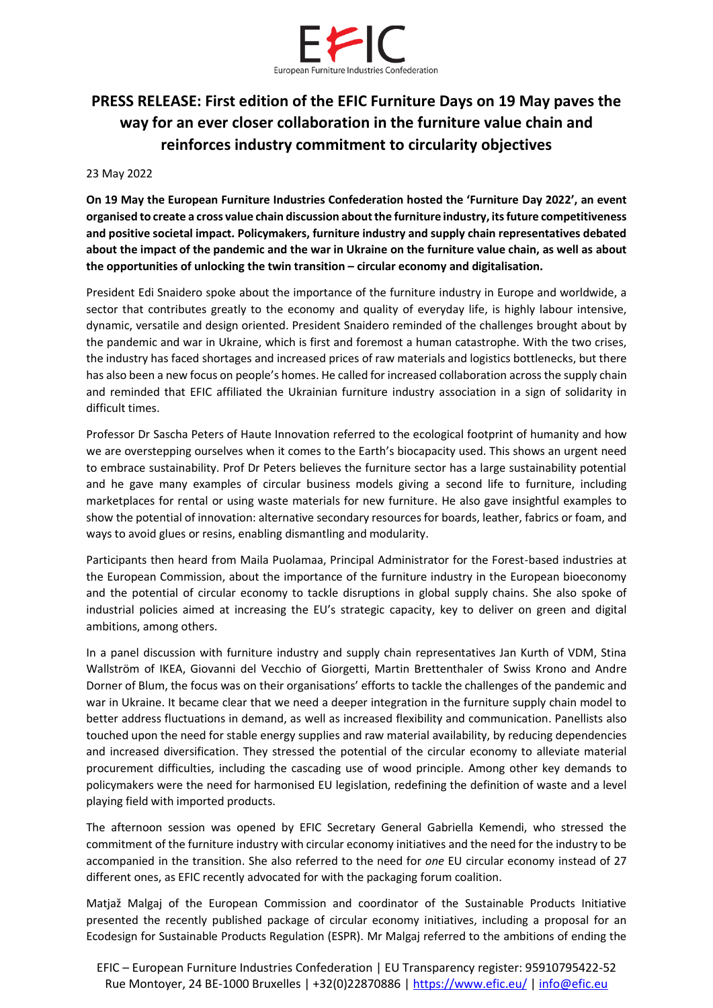

## **PRESS RELEASE: First edition of the EFIC Furniture Days on 19 May paves the way for an ever closer collaboration in the furniture value chain and reinforces industry commitment to circularity objectives**

## 23 May 2022

**On 19 May the European Furniture Industries Confederation hosted the 'Furniture Day 2022', an event organised to create a cross value chain discussion about the furniture industry, its future competitiveness and positive societal impact. Policymakers, furniture industry and supply chain representatives debated about the impact of the pandemic and the war in Ukraine on the furniture value chain, as well as about the opportunities of unlocking the twin transition – circular economy and digitalisation.** 

President Edi Snaidero spoke about the importance of the furniture industry in Europe and worldwide, a sector that contributes greatly to the economy and quality of everyday life, is highly labour intensive, dynamic, versatile and design oriented. President Snaidero reminded of the challenges brought about by the pandemic and war in Ukraine, which is first and foremost a human catastrophe. With the two crises, the industry has faced shortages and increased prices of raw materials and logistics bottlenecks, but there has also been a new focus on people's homes. He called for increased collaboration across the supply chain and reminded that EFIC affiliated the Ukrainian furniture industry association in a sign of solidarity in difficult times.

Professor Dr Sascha Peters of Haute Innovation referred to the ecological footprint of humanity and how we are overstepping ourselves when it comes to the Earth's biocapacity used. This shows an urgent need to embrace sustainability. Prof Dr Peters believes the furniture sector has a large sustainability potential and he gave many examples of circular business models giving a second life to furniture, including marketplaces for rental or using waste materials for new furniture. He also gave insightful examples to show the potential of innovation: alternative secondary resources for boards, leather, fabrics or foam, and ways to avoid glues or resins, enabling dismantling and modularity.

Participants then heard from Maila Puolamaa, Principal Administrator for the Forest-based industries at the European Commission, about the importance of the furniture industry in the European bioeconomy and the potential of circular economy to tackle disruptions in global supply chains. She also spoke of industrial policies aimed at increasing the EU's strategic capacity, key to deliver on green and digital ambitions, among others.

In a panel discussion with furniture industry and supply chain representatives Jan Kurth of VDM, Stina Wallström of IKEA, Giovanni del Vecchio of Giorgetti, Martin Brettenthaler of Swiss Krono and Andre Dorner of Blum, the focus was on their organisations' efforts to tackle the challenges of the pandemic and war in Ukraine. It became clear that we need a deeper integration in the furniture supply chain model to better address fluctuations in demand, as well as increased flexibility and communication. Panellists also touched upon the need for stable energy supplies and raw material availability, by reducing dependencies and increased diversification. They stressed the potential of the circular economy to alleviate material procurement difficulties, including the cascading use of wood principle. Among other key demands to policymakers were the need for harmonised EU legislation, redefining the definition of waste and a level playing field with imported products.

The afternoon session was opened by EFIC Secretary General Gabriella Kemendi, who stressed the commitment of the furniture industry with circular economy initiatives and the need for the industry to be accompanied in the transition. She also referred to the need for *one* EU circular economy instead of 27 different ones, as EFIC recently advocated for with the packaging forum coalition.

Matjaž Malgaj of the European Commission and coordinator of the Sustainable Products Initiative presented the recently published package of circular economy initiatives, including a proposal for an Ecodesign for Sustainable Products Regulation (ESPR). Mr Malgaj referred to the ambitions of ending the